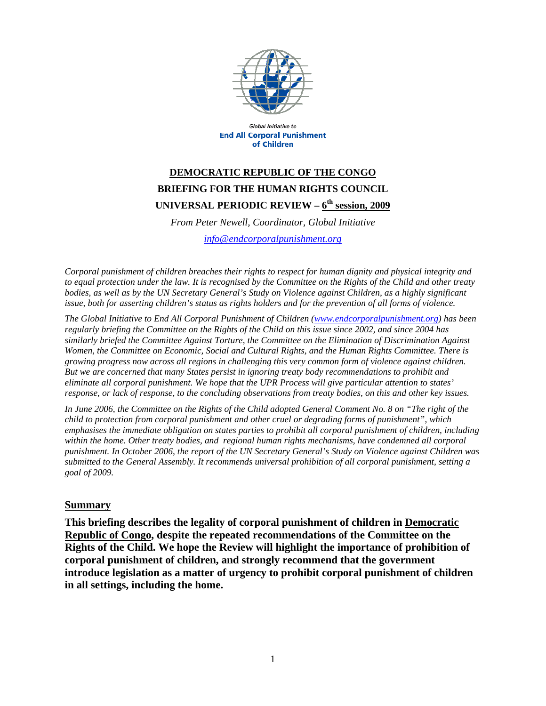

Global Initiative to **End All Corporal Punishment** of Children

## **DEMOCRATIC REPUBLIC OF THE CONGO BRIEFING FOR THE HUMAN RIGHTS COUNCIL UNIVERSAL PERIODIC REVIEW – 6th session, 2009**

*From Peter Newell, Coordinator, Global Initiative* 

*info@endcorporalpunishment.org*

*Corporal punishment of children breaches their rights to respect for human dignity and physical integrity and to equal protection under the law. It is recognised by the Committee on the Rights of the Child and other treaty bodies, as well as by the UN Secretary General's Study on Violence against Children, as a highly significant issue, both for asserting children's status as rights holders and for the prevention of all forms of violence.* 

*The Global Initiative to End All Corporal Punishment of Children (www.endcorporalpunishment.org) has been regularly briefing the Committee on the Rights of the Child on this issue since 2002, and since 2004 has similarly briefed the Committee Against Torture, the Committee on the Elimination of Discrimination Against Women, the Committee on Economic, Social and Cultural Rights, and the Human Rights Committee. There is growing progress now across all regions in challenging this very common form of violence against children. But we are concerned that many States persist in ignoring treaty body recommendations to prohibit and eliminate all corporal punishment. We hope that the UPR Process will give particular attention to states' response, or lack of response, to the concluding observations from treaty bodies, on this and other key issues.* 

*In June 2006, the Committee on the Rights of the Child adopted General Comment No. 8 on "The right of the child to protection from corporal punishment and other cruel or degrading forms of punishment", which emphasises the immediate obligation on states parties to prohibit all corporal punishment of children, including within the home. Other treaty bodies, and regional human rights mechanisms, have condemned all corporal punishment. In October 2006, the report of the UN Secretary General's Study on Violence against Children was submitted to the General Assembly. It recommends universal prohibition of all corporal punishment, setting a goal of 2009.*

## **Summary**

**This briefing describes the legality of corporal punishment of children in Democratic Republic of Congo, despite the repeated recommendations of the Committee on the Rights of the Child. We hope the Review will highlight the importance of prohibition of corporal punishment of children, and strongly recommend that the government introduce legislation as a matter of urgency to prohibit corporal punishment of children in all settings, including the home.**